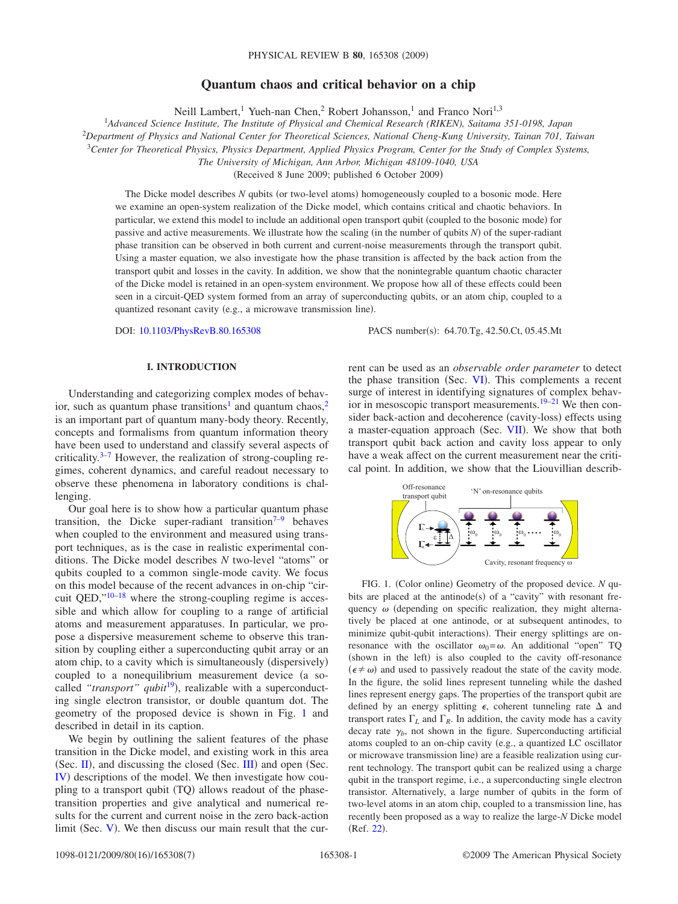# **Quantum chaos and critical behavior on a chip**

Neill Lambert,<sup>1</sup> Yueh-nan Chen,<sup>2</sup> Robert Johansson,<sup>1</sup> and Franco Nori<sup>1,3</sup>

1 *Advanced Science Institute, The Institute of Physical and Chemical Research (RIKEN), Saitama 351-0198, Japan*

2 *Department of Physics and National Center for Theoretical Sciences, National Cheng-Kung University, Tainan 701, Taiwan*

<sup>3</sup>*Center for Theoretical Physics, Physics Department, Applied Physics Program, Center for the Study of Complex Systems,*

*The University of Michigan, Ann Arbor, Michigan 48109-1040, USA*

(Received 8 June 2009; published 6 October 2009)

The Dicke model describes N qubits (or two-level atoms) homogeneously coupled to a bosonic mode. Here we examine an open-system realization of the Dicke model, which contains critical and chaotic behaviors. In particular, we extend this model to include an additional open transport qubit (coupled to the bosonic mode) for passive and active measurements. We illustrate how the scaling (in the number of qubits *N*) of the super-radiant phase transition can be observed in both current and current-noise measurements through the transport qubit. Using a master equation, we also investigate how the phase transition is affected by the back action from the transport qubit and losses in the cavity. In addition, we show that the nonintegrable quantum chaotic character of the Dicke model is retained in an open-system environment. We propose how all of these effects could been seen in a circuit-QED system formed from an array of superconducting qubits, or an atom chip, coupled to a quantized resonant cavity (e.g., a microwave transmission line).

DOI: [10.1103/PhysRevB.80.165308](http://dx.doi.org/10.1103/PhysRevB.80.165308)

PACS number(s): 64.70.Tg, 42.50.Ct, 05.45.Mt

# **I. INTRODUCTION**

Understanding and categorizing complex modes of behavior, such as quantum phase transitions<sup>1</sup> and quantum chaos,<sup>2</sup> is an important part of quantum many-body theory. Recently, concepts and formalisms from quantum information theory have been used to understand and classify several aspects of criticality. $3-7$  $3-7$  However, the realization of strong-coupling regimes, coherent dynamics, and careful readout necessary to observe these phenomena in laboratory conditions is challenging.

Our goal here is to show how a particular quantum phase transition, the Dicke super-radiant transition<sup> $7-9$  $7-9$ </sup> behaves when coupled to the environment and measured using transport techniques, as is the case in realistic experimental conditions. The Dicke model describes *N* two-level "atoms" or qubits coupled to a common single-mode cavity. We focus on this model because of the recent advances in on-chip "circuit QED,["10–](#page-6-5)[18](#page-6-6) where the strong-coupling regime is accessible and which allow for coupling to a range of artificial atoms and measurement apparatuses. In particular, we propose a dispersive measurement scheme to observe this transition by coupling either a superconducting qubit array or an atom chip, to a cavity which is simultaneously (dispersively) coupled to a nonequilibrium measurement device (a so-called "transport" qubit<sup>[19](#page-6-7)</sup>), realizable with a superconducting single electron transistor, or double quantum dot. The geometry of the proposed device is shown in Fig. [1](#page-0-0) and described in detail in its caption.

We begin by outlining the salient features of the phase transition in the Dicke model, and existing work in this area  $(Sec. II)$  $(Sec. II)$  $(Sec. II)$ , and discussing the closed  $(Sec. III)$  $(Sec. III)$  $(Sec. III)$  and open  $(Sec. II)$ [IV](#page-1-2)) descriptions of the model. We then investigate how coupling to a transport qubit (TQ) allows readout of the phasetransition properties and give analytical and numerical results for the current and current noise in the zero back-action limit (Sec.  $V$ ). We then discuss our main result that the current can be used as an *observable order parameter* to detect the phase transition (Sec. [VI](#page-3-0)). This complements a recent surge of interest in identifying signatures of complex behavior in mesoscopic transport measurements[.19–](#page-6-7)[21](#page-6-8) We then consider back-action and decoherence (cavity-loss) effects using a master-equation approach (Sec. [VII](#page-4-0)). We show that both transport qubit back action and cavity loss appear to only have a weak affect on the current measurement near the critical point. In addition, we show that the Liouvillian describ-

<span id="page-0-0"></span>

FIG. 1. (Color online) Geometry of the proposed device. *N* qubits are placed at the antinode(s) of a "cavity" with resonant frequency  $\omega$  (depending on specific realization, they might alternatively be placed at one antinode, or at subsequent antinodes, to minimize qubit-qubit interactions). Their energy splittings are onresonance with the oscillator  $\omega_0 = \omega$ . An additional "open" TQ (shown in the left) is also coupled to the cavity off-resonance  $(\epsilon \neq \omega)$  and used to passively readout the state of the cavity mode. In the figure, the solid lines represent tunneling while the dashed lines represent energy gaps. The properties of the transport qubit are defined by an energy splitting  $\epsilon$ , coherent tunneling rate  $\Delta$  and transport rates  $\Gamma_L$  and  $\Gamma_R$ . In addition, the cavity mode has a cavity decay rate  $\gamma_b$ , not shown in the figure. Superconducting artificial atoms coupled to an on-chip cavity (e.g., a quantized LC oscillator or microwave transmission line) are a feasible realization using current technology. The transport qubit can be realized using a charge qubit in the transport regime, i.e., a superconducting single electron transistor. Alternatively, a large number of qubits in the form of two-level atoms in an atom chip, coupled to a transmission line, has recently been proposed as a way to realize the large-*N* Dicke model (Ref. [22](#page-6-9)).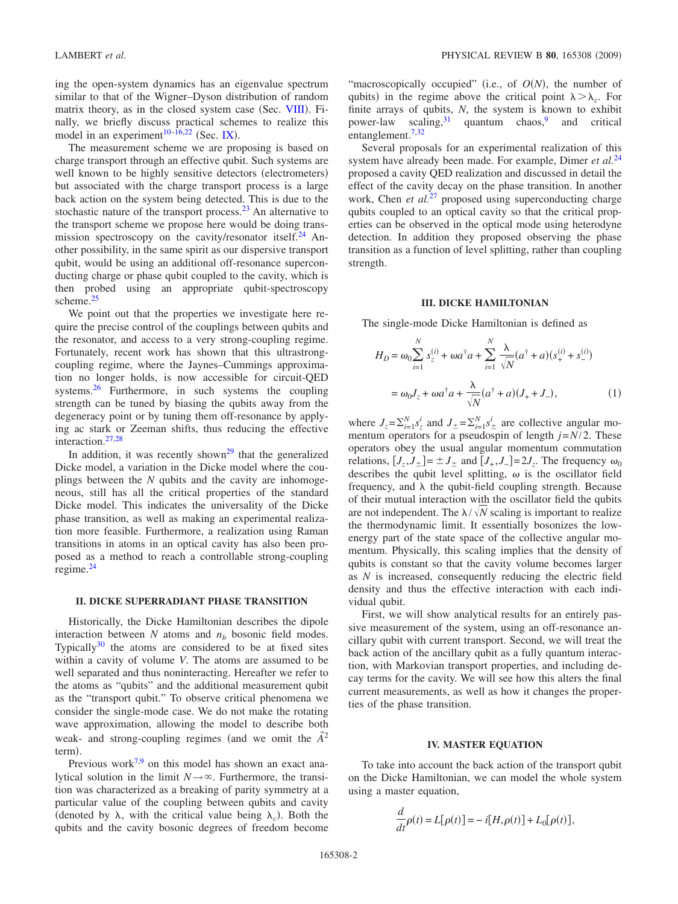ing the open-system dynamics has an eigenvalue spectrum similar to that of the Wigner–Dyson distribution of random matrix theory, as in the closed system case (Sec. [VIII](#page-4-1)). Finally, we briefly discuss practical schemes to realize this model in an experiment<sup>10[–16,](#page-6-10)[22](#page-6-9)</sup> (Sec. [IX](#page-5-0)).

The measurement scheme we are proposing is based on charge transport through an effective qubit. Such systems are well known to be highly sensitive detectors (electrometers) but associated with the charge transport process is a large back action on the system being detected. This is due to the stochastic nature of the transport process.<sup>23</sup> An alternative to the transport scheme we propose here would be doing transmission spectroscopy on the cavity/resonator itself.<sup>24</sup> Another possibility, in the same spirit as our dispersive transport qubit, would be using an additional off-resonance superconducting charge or phase qubit coupled to the cavity, which is then probed using an appropriate qubit-spectroscopy scheme.<sup>25</sup>

We point out that the properties we investigate here require the precise control of the couplings between qubits and the resonator, and access to a very strong-coupling regime. Fortunately, recent work has shown that this ultrastrongcoupling regime, where the Jaynes–Cummings approximation no longer holds, is now accessible for circuit-QED systems. $26$  Furthermore, in such systems the coupling strength can be tuned by biasing the qubits away from the degeneracy point or by tuning them off-resonance by applying ac stark or Zeeman shifts, thus reducing the effective interaction.<sup>27[,28](#page-6-16)</sup>

In addition, it was recently shown<sup>29</sup> that the generalized Dicke model, a variation in the Dicke model where the couplings between the *N* qubits and the cavity are inhomogeneous, still has all the critical properties of the standard Dicke model. This indicates the universality of the Dicke phase transition, as well as making an experimental realization more feasible. Furthermore, a realization using Raman transitions in atoms in an optical cavity has also been proposed as a method to reach a controllable strong-coupling regime[.24](#page-6-12)

### <span id="page-1-0"></span>**II. DICKE SUPERRADIANT PHASE TRANSITION**

Historically, the Dicke Hamiltonian describes the dipole interaction between  $N$  atoms and  $n<sub>b</sub>$  bosonic field modes. Typically $30$  the atoms are considered to be at fixed sites within a cavity of volume *V*. The atoms are assumed to be well separated and thus noninteracting. Hereafter we refer to the atoms as "qubits" and the additional measurement qubit as the "transport qubit." To observe critical phenomena we consider the single-mode case. We do not make the rotating wave approximation, allowing the model to describe both weak- and strong-coupling regimes (and we omit the  $\vec{A}^2$ term).

Previous work<sup>7,[9](#page-6-4)</sup> on this model has shown an exact analytical solution in the limit  $N \rightarrow \infty$ . Furthermore, the transition was characterized as a breaking of parity symmetry at a particular value of the coupling between qubits and cavity (denoted by  $\lambda$ , with the critical value being  $\lambda_c$ ). Both the qubits and the cavity bosonic degrees of freedom become

"macroscopically occupied" (i.e., of  $O(N)$ , the number of qubits) in the regime above the critical point  $\lambda > \lambda_c$ . For finite arrays of qubits, *N*, the system is known to exhibit power-law scaling,  $31$  quantum chaos, and critical entanglement[.7](#page-6-3)[,32](#page-6-20)

Several proposals for an experimental realization of this system have already been made. For example, Dimer *et al.*[24](#page-6-12) proposed a cavity QED realization and discussed in detail the effect of the cavity decay on the phase transition. In another work, Chen *et al.*<sup>[27](#page-6-15)</sup> proposed using superconducting charge qubits coupled to an optical cavity so that the critical properties can be observed in the optical mode using heterodyne detection. In addition they proposed observing the phase transition as a function of level splitting, rather than coupling strength.

## **III. DICKE HAMILTONIAN**

<span id="page-1-3"></span><span id="page-1-1"></span>The single-mode Dicke Hamiltonian is defined as

$$
H_D = \omega_0 \sum_{i=1}^{N} s_z^{(i)} + \omega a^{\dagger} a + \sum_{i=1}^{N} \frac{\lambda}{\sqrt{N}} (a^{\dagger} + a)(s_+^{(i)} + s_-^{(i)})
$$
  
=  $\omega_0 J_z + \omega a^{\dagger} a + \frac{\lambda}{\sqrt{N}} (a^{\dagger} + a)(J_+ + J_-),$  (1)

where  $J_z = \sum_{i=1}^{N} s_z^i$  and  $J_{\pm} = \sum_{i=1}^{N} s_{\pm}^i$  are collective angular momentum operators for a pseudospin of length  $j=N/2$ . These operators obey the usual angular momentum commutation relations,  $[J_7, J_+]= \pm J_+$  and  $[J_+, J_-]=2J_-.$  The frequency  $\omega_0$ describes the qubit level splitting,  $\omega$  is the oscillator field frequency, and  $\lambda$  the qubit-field coupling strength. Because of their mutual interaction with the oscillator field the qubits are not independent. The  $\lambda / \sqrt{N}$  scaling is important to realize the thermodynamic limit. It essentially bosonizes the lowenergy part of the state space of the collective angular momentum. Physically, this scaling implies that the density of qubits is constant so that the cavity volume becomes larger as *N* is increased, consequently reducing the electric field density and thus the effective interaction with each individual qubit.

First, we will show analytical results for an entirely passive measurement of the system, using an off-resonance ancillary qubit with current transport. Second, we will treat the back action of the ancillary qubit as a fully quantum interaction, with Markovian transport properties, and including decay terms for the cavity. We will see how this alters the final current measurements, as well as how it changes the properties of the phase transition.

### **IV. MASTER EQUATION**

<span id="page-1-2"></span>To take into account the back action of the transport qubit on the Dicke Hamiltonian, we can model the whole system using a master equation,

$$
\frac{d}{dt}\rho(t) = L[\rho(t)] = -i[H, \rho(t)] + L_0[\rho(t)],
$$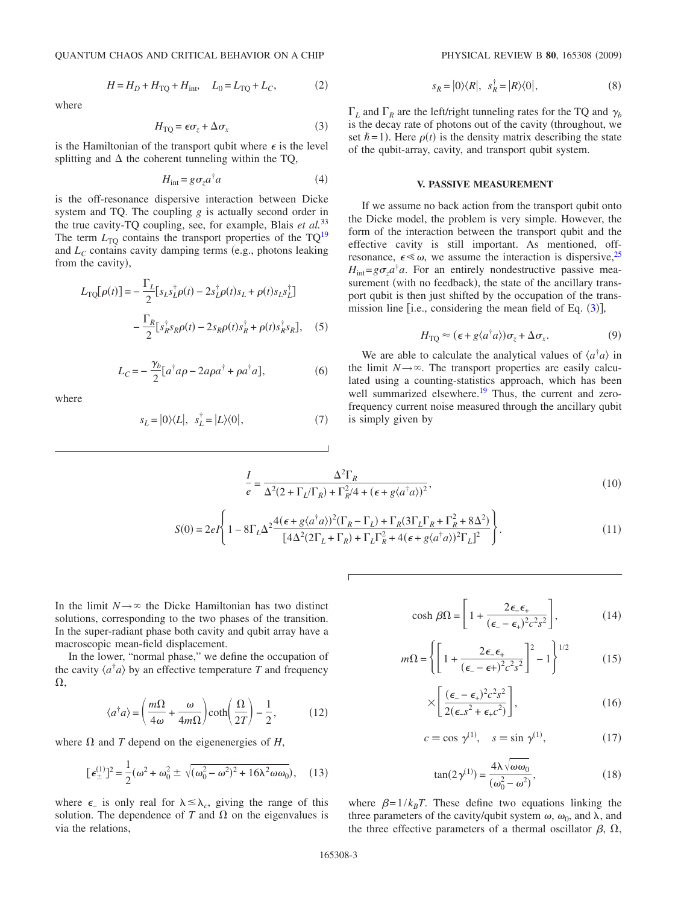$$
H = H_D + H_{\text{TQ}} + H_{\text{int}}, \quad L_0 = L_{\text{TQ}} + L_C, \tag{2}
$$

<span id="page-2-1"></span>where

$$
H_{\rm TQ} = \epsilon \sigma_z + \Delta \sigma_x \tag{3}
$$

is the Hamiltonian of the transport qubit where  $\epsilon$  is the level splitting and  $\Delta$  the coherent tunneling within the TQ,

$$
H_{\text{int}} = g \sigma_z a^{\dagger} a \tag{4}
$$

is the off-resonance dispersive interaction between Dicke system and TQ. The coupling *g* is actually second order in the true cavity-TQ coupling, see, for example, Blais *et al.*[33](#page-6-21) The term  $L_{\text{TO}}$  contains the transport properties of the TQ<sup>19</sup> and  $L<sub>C</sub>$  contains cavity damping terms (e.g., photons leaking from the cavity),

$$
L_{\text{TQ}}[\rho(t)] = -\frac{\Gamma_L}{2} [s_L s_L^{\dagger} \rho(t) - 2s_L^{\dagger} \rho(t)s_L + \rho(t)s_L s_L^{\dagger}]
$$

$$
-\frac{\Gamma_R}{2} [s_R^{\dagger} s_R \rho(t) - 2s_R \rho(t)s_R^{\dagger} + \rho(t)s_R^{\dagger} s_R], \quad (5)
$$

$$
L_C = -\frac{\gamma_b}{2} [a^\dagger a \rho - 2a\rho a^\dagger + \rho a^\dagger a],\tag{6}
$$

where

$$
s_L = |0\rangle\langle L|, \quad s_L^{\dagger} = |L\rangle\langle 0|,\tag{7}
$$

$$
s_R = |0\rangle\langle R|, \ \ s_R^{\dagger} = |R\rangle\langle 0|,\tag{8}
$$

 $\Gamma_L$  and  $\Gamma_R$  are the left/right tunneling rates for the TQ and  $\gamma_h$ is the decay rate of photons out of the cavity (throughout, we set  $\hbar$  = 1). Here  $\rho(t)$  is the density matrix describing the state of the qubit-array, cavity, and transport qubit system.

### **V. PASSIVE MEASUREMENT**

<span id="page-2-0"></span>If we assume no back action from the transport qubit onto the Dicke model, the problem is very simple. However, the form of the interaction between the transport qubit and the effective cavity is still important. As mentioned, offresonance,  $\epsilon \ll \omega$ , we assume the interaction is dispersive, <sup>25</sup>  $H_{int} = g \sigma_z a^{\dagger} a$ . For an entirely nondestructive passive measurement (with no feedback), the state of the ancillary transport qubit is then just shifted by the occupation of the transmission line [i.e., considering the mean field of Eq.  $(3)$  $(3)$  $(3)$ ],

$$
H_{\rm TQ} \approx (\epsilon + g \langle a^{\dagger} a \rangle) \sigma_z + \Delta \sigma_x. \tag{9}
$$

We are able to calculate the analytical values of  $\langle a^{\dagger} a \rangle$  in the limit  $N \rightarrow \infty$ . The transport properties are easily calculated using a counting-statistics approach, which has been well summarized elsewhere.<sup>19</sup> Thus, the current and zerofrequency current noise measured through the ancillary qubit is simply given by

$$
\frac{I}{e} = \frac{\Delta^2 \Gamma_R}{\Delta^2 (2 + \Gamma_L / \Gamma_R) + \Gamma_R^2 / 4 + (\epsilon + g \langle a^\dagger a \rangle)^2},\tag{10}
$$

$$
S(0) = 2eI \left\{ 1 - 8\Gamma_L \Delta^2 \frac{4(\epsilon + g\langle a^\dagger a \rangle)^2 (\Gamma_R - \Gamma_L) + \Gamma_R (3\Gamma_L \Gamma_R + \Gamma_R^2 + 8\Delta^2)}{[4\Delta^2 (2\Gamma_L + \Gamma_R) + \Gamma_L \Gamma_R^2 + 4(\epsilon + g\langle a^\dagger a \rangle)^2 \Gamma_L]^2} \right\}.
$$
(11)

In the limit  $N \rightarrow \infty$  the Dicke Hamiltonian has two distinct solutions, corresponding to the two phases of the transition. In the super-radiant phase both cavity and qubit array have a macroscopic mean-field displacement.

In the lower, "normal phase," we define the occupation of the cavity  $\langle a^{\dagger} a \rangle$  by an effective temperature *T* and frequency  $\Omega$ .

$$
\langle a^{\dagger} a \rangle = \left( \frac{m\Omega}{4\omega} + \frac{\omega}{4m\Omega} \right) \coth\left( \frac{\Omega}{2T} \right) - \frac{1}{2},\tag{12}
$$

where  $\Omega$  and *T* depend on the eigenenergies of *H*,

$$
[\epsilon_{\pm}^{(1)}]^2 = \frac{1}{2}(\omega^2 + \omega_0^2 \pm \sqrt{(\omega_0^2 - \omega^2)^2 + 16\lambda^2 \omega \omega_0}), \quad (13)
$$

where  $\epsilon$  is only real for  $\lambda \leq \lambda_c$ , giving the range of this solution. The dependence of  $T$  and  $\Omega$  on the eigenvalues is via the relations,

$$
\cosh \beta \Omega = \left[ 1 + \frac{2\epsilon_{-} \epsilon_{+}}{(\epsilon_{-} - \epsilon_{+})^{2} c^{2} s^{2}} \right],
$$
 (14)

$$
m\Omega = \left\{ \left[ 1 + \frac{2\epsilon_-\epsilon_+}{(\epsilon_- - \epsilon_+)^2 c^2 s^2} \right]^2 - 1 \right\}^{1/2}
$$
 (15)

$$
\times \left[ \frac{(\epsilon_- - \epsilon_+)^2 c^2 s^2}{2(\epsilon_- s^2 + \epsilon_+ c^2)} \right],\tag{16}
$$

$$
c \equiv \cos \gamma^{(1)}, \quad s \equiv \sin \gamma^{(1)}, \tag{17}
$$

$$
\tan(2\,\gamma^{(1)}) = \frac{4\lambda\sqrt{\omega\omega_0}}{(\omega_0^2 - \omega^2)},\tag{18}
$$

where  $\beta=1/k_BT$ . These define two equations linking the three parameters of the cavity/qubit system  $\omega$ ,  $\omega_0$ , and  $\lambda$ , and the three effective parameters of a thermal oscillator  $\beta$ ,  $\Omega$ ,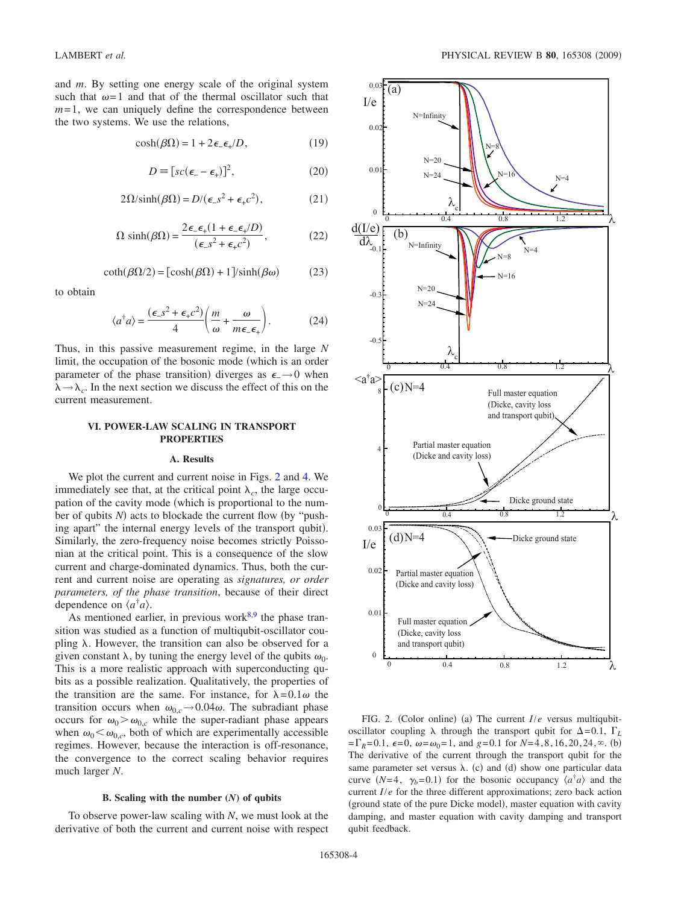and *m*. By setting one energy scale of the original system such that  $\omega=1$  and that of the thermal oscillator such that  $m=1$ , we can uniquely define the correspondence between the two systems. We use the relations,

$$
\cosh(\beta \Omega) = 1 + 2\epsilon_{-} \epsilon_{+} / D, \qquad (19)
$$

$$
D \equiv [sc(\epsilon_- - \epsilon_+)]^2, \tag{20}
$$

$$
2\Omega/\sinh(\beta\Omega) = D/(\epsilon_{-}s^{2} + \epsilon_{+}c^{2}),
$$
 (21)

$$
\Omega \sinh(\beta \Omega) = \frac{2\epsilon_{-}\epsilon_{+}(1 + \epsilon_{-}\epsilon_{+}/D)}{(\epsilon_{-}s^{2} + \epsilon_{+}c^{2})},
$$
\n(22)

$$
\coth(\beta\Omega/2) = [\cosh(\beta\Omega) + 1]/\sinh(\beta\omega)
$$
 (23)

to obtain

$$
\langle a^{\dagger} a \rangle = \frac{(\epsilon_{-} s^2 + \epsilon_{+} c^2)}{4} \bigg( \frac{m}{\omega} + \frac{\omega}{m \epsilon_{-} \epsilon_{+}} \bigg). \tag{24}
$$

Thus, in this passive measurement regime, in the large *N* limit, the occupation of the bosonic mode (which is an order parameter of the phase transition) diverges as  $\epsilon$ - $\rightarrow$ 0 when  $\lambda \rightarrow \lambda_c$ . In the next section we discuss the effect of this on the current measurement.

## <span id="page-3-0"></span>**VI. POWER-LAW SCALING IN TRANSPORT PROPERTIES**

#### **A. Results**

We plot the current and current noise in Figs. [2](#page-3-1) and [4.](#page-5-1) We immediately see that, at the critical point  $\lambda_c$ , the large occupation of the cavity mode (which is proportional to the number of qubits *N*) acts to blockade the current flow (by "pushing apart" the internal energy levels of the transport qubit). Similarly, the zero-frequency noise becomes strictly Poissonian at the critical point. This is a consequence of the slow current and charge-dominated dynamics. Thus, both the current and current noise are operating as *signatures, or order parameters, of the phase transition*, because of their direct dependence on  $\langle a^{\dagger} a \rangle$ .

As mentioned earlier, in previous work $8.9$  $8.9$  the phase transition was studied as a function of multiqubit-oscillator coupling  $\lambda$ . However, the transition can also be observed for a given constant  $\lambda$ , by tuning the energy level of the qubits  $\omega_0$ . This is a more realistic approach with superconducting qubits as a possible realization. Qualitatively, the properties of the transition are the same. For instance, for  $\lambda = 0.1 \omega$  the transition occurs when  $\omega_{0,c} \rightarrow 0.04\omega$ . The subradiant phase occurs for  $\omega_0 > \omega_{0,c}$  while the super-radiant phase appears when  $\omega_0 < \omega_{0,c}$ , both of which are experimentally accessible regimes. However, because the interaction is off-resonance, the convergence to the correct scaling behavior requires much larger *N*.

### **B. Scaling with the number (***N***) of qubits**

To observe power-law scaling with *N*, we must look at the derivative of both the current and current noise with respect

<span id="page-3-1"></span>

FIG. 2. (Color online) (a) The current *I*/*e* versus multiqubitoscillator coupling  $\lambda$  through the transport qubit for  $\Delta = 0.1$ ,  $\Gamma_L$  $=\Gamma_R=0.1$ ,  $\epsilon=0$ ,  $\omega=\omega_0=1$ , and  $g=0.1$  for  $N=4,8,16,20,24,\infty$ . (b) The derivative of the current through the transport qubit for the same parameter set versus  $\lambda$ . (c) and (d) show one particular data curve  $(N=4, \gamma_b=0.1)$  for the bosonic occupancy  $\langle a^{\dagger} a \rangle$  and the current *I*/*e* for the three different approximations; zero back action (ground state of the pure Dicke model), master equation with cavity damping, and master equation with cavity damping and transport qubit feedback.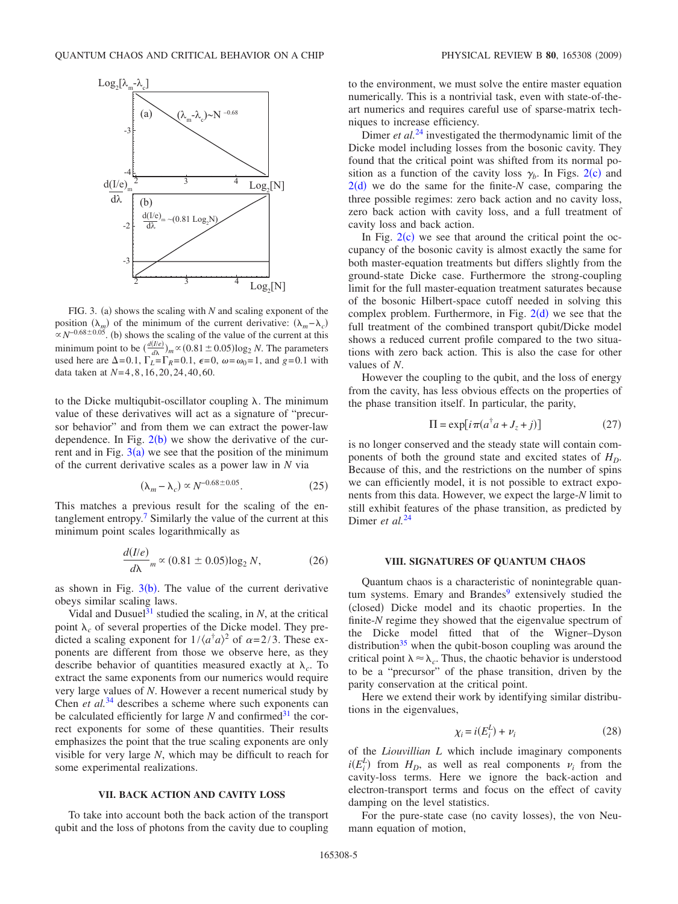<span id="page-4-2"></span>

FIG. 3. (a) shows the scaling with  $N$  and scaling exponent of the position  $(\lambda_m)$  of the minimum of the current derivative:  $(\lambda_m - \lambda_c)$  $\propto N^{-0.68\pm0.05}$ . (b) shows the scaling of the value of the current at this minimum point to be  $\left(\frac{d(I/e)}{d\lambda}\right)_m \propto (0.81 \pm 0.05) \log_2 N$ . The parameters used here are  $\Delta = 0.1$ ,  $\Gamma_L = \Gamma_R = 0.1$ ,  $\epsilon = 0$ ,  $\omega = \omega_0 = 1$ , and  $g = 0.1$  with data taken at *N*=4,8,16,20,24,40,60.

to the Dicke multiqubit-oscillator coupling  $\lambda$ . The minimum value of these derivatives will act as a signature of "precursor behavior" and from them we can extract the power-law dependence. In Fig.  $2(b)$  $2(b)$  we show the derivative of the current and in Fig.  $3(a)$  $3(a)$  we see that the position of the minimum of the current derivative scales as a power law in *N* via

$$
(\lambda_m - \lambda_c) \propto N^{-0.68 \pm 0.05}.
$$
 (25)

This matches a previous result for the scaling of the entanglement entropy.<sup>7</sup> Similarly the value of the current at this minimum point scales logarithmically as

$$
\frac{d(I/e)}{d\lambda}{}_{m} \propto (0.81 \pm 0.05) \log_2 N,\tag{26}
$$

as shown in Fig.  $3(b)$  $3(b)$ . The value of the current derivative obeys similar scaling laws.

Vidal and Dusuel $31$  studied the scaling, in *N*, at the critical point  $\lambda_c$  of several properties of the Dicke model. They predicted a scaling exponent for  $1/\langle a^{\dagger} a \rangle^2$  of  $\alpha = 2/3$ . These exponents are different from those we observe here, as they describe behavior of quantities measured exactly at  $\lambda_c$ . To extract the same exponents from our numerics would require very large values of *N*. However a recent numerical study by Chen *et al.*[34](#page-6-23) describes a scheme where such exponents can be calculated efficiently for large  $N$  and confirmed<sup>31</sup> the correct exponents for some of these quantities. Their results emphasizes the point that the true scaling exponents are only visible for very large *N*, which may be difficult to reach for some experimental realizations.

## **VII. BACK ACTION AND CAVITY LOSS**

<span id="page-4-0"></span>To take into account both the back action of the transport qubit and the loss of photons from the cavity due to coupling to the environment, we must solve the entire master equation numerically. This is a nontrivial task, even with state-of-theart numerics and requires careful use of sparse-matrix techniques to increase efficiency.

Dimer *et al.*<sup>[24](#page-6-12)</sup> investigated the thermodynamic limit of the Dicke model including losses from the bosonic cavity. They found that the critical point was shifted from its normal position as a function of the cavity loss  $\gamma_b$ . In Figs. [2](#page-3-1)(c) and  $2(d)$  $2(d)$  we do the same for the finite- $N$  case, comparing the three possible regimes: zero back action and no cavity loss, zero back action with cavity loss, and a full treatment of cavity loss and back action.

In Fig.  $2(c)$  $2(c)$  we see that around the critical point the occupancy of the bosonic cavity is almost exactly the same for both master-equation treatments but differs slightly from the ground-state Dicke case. Furthermore the strong-coupling limit for the full master-equation treatment saturates because of the bosonic Hilbert-space cutoff needed in solving this complex problem. Furthermore, in Fig.  $2(d)$  $2(d)$  we see that the full treatment of the combined transport qubit/Dicke model shows a reduced current profile compared to the two situations with zero back action. This is also the case for other values of *N*.

However the coupling to the qubit, and the loss of energy from the cavity, has less obvious effects on the properties of the phase transition itself. In particular, the parity,

$$
\Pi = \exp[i\pi(a^\dagger a + J_z + j)]\tag{27}
$$

is no longer conserved and the steady state will contain components of both the ground state and excited states of  $H_D$ . Because of this, and the restrictions on the number of spins we can efficiently model, it is not possible to extract exponents from this data. However, we expect the large-*N* limit to still exhibit features of the phase transition, as predicted by Dimer *et al.*<sup>[24](#page-6-12)</sup>

## **VIII. SIGNATURES OF QUANTUM CHAOS**

<span id="page-4-1"></span>Quantum chaos is a characteristic of nonintegrable quantum systems. Emary and Brandes $9$  extensively studied the (closed) Dicke model and its chaotic properties. In the finite-*N* regime they showed that the eigenvalue spectrum of the Dicke model fitted that of the Wigner–Dyson distribution $35$  when the qubit-boson coupling was around the critical point  $\lambda \approx \lambda_c$ . Thus, the chaotic behavior is understood to be a "precursor" of the phase transition, driven by the parity conservation at the critical point.

Here we extend their work by identifying similar distributions in the eigenvalues,

$$
\chi_i = i(E_i^L) + \nu_i \tag{28}
$$

of the *Liouvillian L* which include imaginary components  $i(E_i^L)$  from  $H_D$ , as well as real components  $v_i$  from the cavity-loss terms. Here we ignore the back-action and electron-transport terms and focus on the effect of cavity damping on the level statistics.

For the pure-state case (no cavity losses), the von Neumann equation of motion,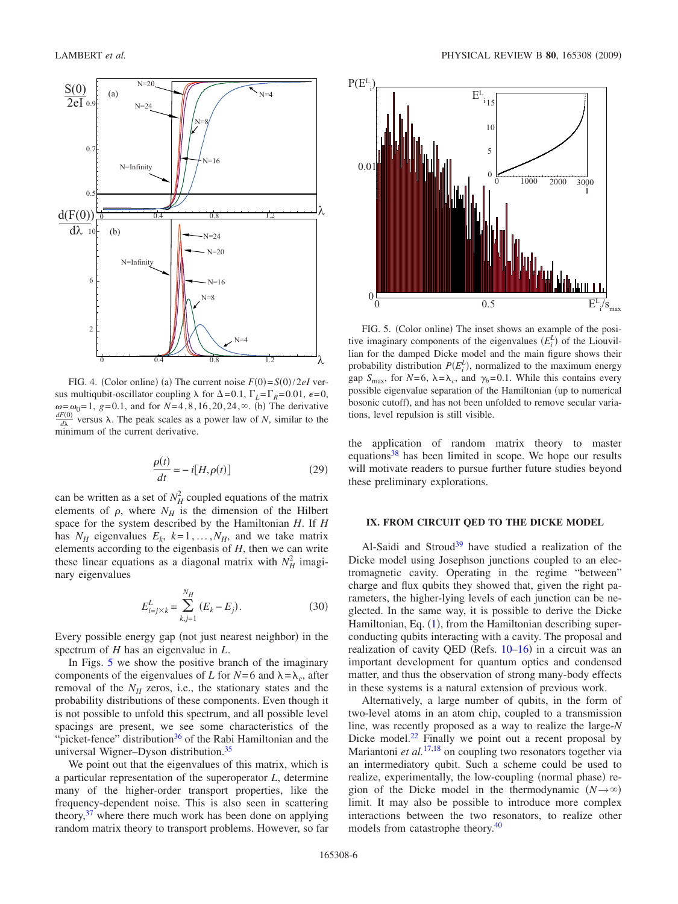<span id="page-5-1"></span>

FIG. 4. (Color online) (a) The current noise  $F(0) = S(0)/2eI$  versus multiqubit-oscillator coupling  $\lambda$  for  $\Delta = 0.1$ ,  $\Gamma_L = \Gamma_R = 0.01$ ,  $\epsilon = 0$ ,  $\omega = \omega_0 = 1$ , *g*=0.1, and for *N*=4,8,16,20,24, $\infty$ . (b) The derivative *dF*<sub>0</sub><sup>-</sup> versus *s*). The neak scales as a nower law of *N*-similar to the *d* versus  $\lambda$ . The peak scales as a power law of *N*, similar to the minimum of the current derivative.

$$
\frac{\rho(t)}{dt} = -i[H, \rho(t)]\tag{29}
$$

can be written as a set of  $N_H^2$  coupled equations of the matrix elements of  $\rho$ , where  $N_H$  is the dimension of the Hilbert space for the system described by the Hamiltonian *H*. If *H* has  $N_H$  eigenvalues  $E_k$ ,  $k=1,\ldots,N_H$ , and we take matrix elements according to the eigenbasis of *H*, then we can write these linear equations as a diagonal matrix with  $N_H^2$  imaginary eigenvalues

$$
E_{i=j\times k}^{L} = \sum_{k,j=1}^{N_H} (E_k - E_j).
$$
 (30)

Every possible energy gap (not just nearest neighbor) in the spectrum of *H* has an eigenvalue in *L*.

In Figs. [5](#page-5-2) we show the positive branch of the imaginary components of the eigenvalues of *L* for  $N=6$  and  $\lambda = \lambda_c$ , after removal of the  $N_H$  zeros, i.e., the stationary states and the probability distributions of these components. Even though it is not possible to unfold this spectrum, and all possible level spacings are present, we see some characteristics of the "picket-fence" distribution<sup>36</sup> of the Rabi Hamiltonian and the universal Wigner–Dyson distribution[.35](#page-6-24)

We point out that the eigenvalues of this matrix, which is a particular representation of the superoperator *L*, determine many of the higher-order transport properties, like the frequency-dependent noise. This is also seen in scattering theory,  $37$  where there much work has been done on applying random matrix theory to transport problems. However, so far

<span id="page-5-2"></span>

FIG. 5. (Color online) The inset shows an example of the positive imaginary components of the eigenvalues  $(E_i^L)$  of the Liouvillian for the damped Dicke model and the main figure shows their probability distribution  $P(E_i^L)$ , normalized to the maximum energy gap  $S_{\text{max}}$ , for  $N=6$ ,  $\lambda = \lambda_c$ , and  $\gamma_b=0.1$ . While this contains every possible eigenvalue separation of the Hamiltonian (up to numerical bosonic cutoff), and has not been unfolded to remove secular variations, level repulsion is still visible.

the application of random matrix theory to master equations<sup>38</sup> has been limited in scope. We hope our results will motivate readers to pursue further future studies beyond these preliminary explorations.

# <span id="page-5-0"></span>**IX. FROM CIRCUIT QED TO THE DICKE MODEL**

Al-Saidi and Stroud<sup>39</sup> have studied a realization of the Dicke model using Josephson junctions coupled to an electromagnetic cavity. Operating in the regime "between" charge and flux qubits they showed that, given the right parameters, the higher-lying levels of each junction can be neglected. In the same way, it is possible to derive the Dicke Hamiltonian, Eq.  $(1)$  $(1)$  $(1)$ , from the Hamiltonian describing superconducting qubits interacting with a cavity. The proposal and realization of cavity QED (Refs. 10-[16](#page-6-10)) in a circuit was an important development for quantum optics and condensed matter, and thus the observation of strong many-body effects in these systems is a natural extension of previous work.

Alternatively, a large number of qubits, in the form of two-level atoms in an atom chip, coupled to a transmission line, was recently proposed as a way to realize the large-*N* Dicke model. $22$  Finally we point out a recent proposal by Mariantoni *et al.*<sup>[17](#page-6-29)[,18](#page-6-6)</sup> on coupling two resonators together via an intermediatory qubit. Such a scheme could be used to realize, experimentally, the low-coupling (normal phase) region of the Dicke model in the thermodynamic  $(N \rightarrow \infty)$ limit. It may also be possible to introduce more complex interactions between the two resonators, to realize other models from catastrophe theory.<sup>40</sup>